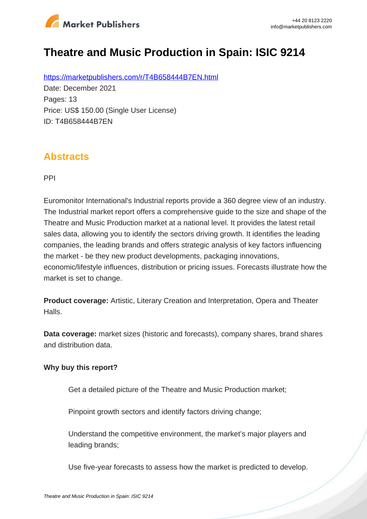

# **Theatre and Music Production in Spain: ISIC 9214**

https://marketpublishers.com/r/T4B658444B7EN.html Date: December 2021 Pages: 13 Price: US\$ 150.00 (Single User License) ID: T4B658444B7EN

### **Abstracts**

PPI

Euromonitor International's Industrial reports provide a 360 degree view of an industry. The Industrial market report offers a comprehensive guide to the size and shape of the Theatre and Music Production market at a national level. It provides the latest retail sales data, allowing you to identify the sectors driving growth. It identifies the leading companies, the leading brands and offers strategic analysis of key factors influencing the market - be they new product developments, packaging innovations, economic/lifestyle influences, distribution or pricing issues. Forecasts illustrate how the market is set to change.

**Product coverage:** Artistic, Literary Creation and Interpretation, Opera and Theater Halls.

**Data coverage:** market sizes (historic and forecasts), company shares, brand shares and distribution data.

#### **Why buy this report?**

Get a detailed picture of the Theatre and Music Production market;

Pinpoint growth sectors and identify factors driving change;

Understand the competitive environment, the market's major players and leading brands;

Use five-year forecasts to assess how the market is predicted to develop.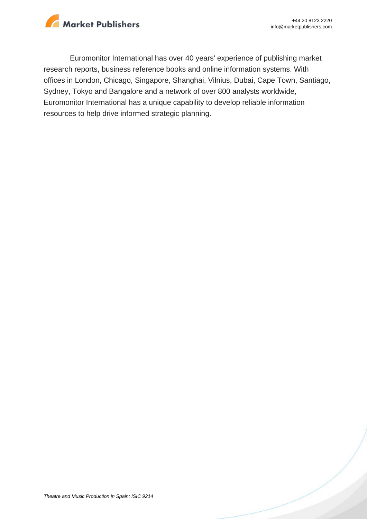

Euromonitor International has over 40 years' experience of publishing market research reports, business reference books and online information systems. With offices in London, Chicago, Singapore, Shanghai, Vilnius, Dubai, Cape Town, Santiago, Sydney, Tokyo and Bangalore and a network of over 800 analysts worldwide, Euromonitor International has a unique capability to develop reliable information resources to help drive informed strategic planning.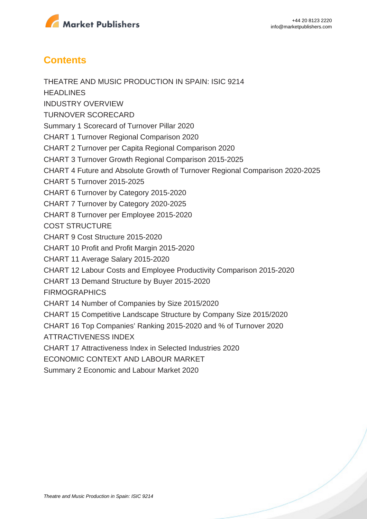

## **Contents**

THEATRE AND MUSIC PRODUCTION IN SPAIN: ISIC 9214 **HEADLINES** INDUSTRY OVERVIEW TURNOVER SCORECARD Summary 1 Scorecard of Turnover Pillar 2020 CHART 1 Turnover Regional Comparison 2020 CHART 2 Turnover per Capita Regional Comparison 2020 CHART 3 Turnover Growth Regional Comparison 2015-2025 CHART 4 Future and Absolute Growth of Turnover Regional Comparison 2020-2025 CHART 5 Turnover 2015-2025 CHART 6 Turnover by Category 2015-2020 CHART 7 Turnover by Category 2020-2025 CHART 8 Turnover per Employee 2015-2020 COST STRUCTURE CHART 9 Cost Structure 2015-2020 CHART 10 Profit and Profit Margin 2015-2020 CHART 11 Average Salary 2015-2020 CHART 12 Labour Costs and Employee Productivity Comparison 2015-2020 CHART 13 Demand Structure by Buyer 2015-2020 FIRMOGRAPHICS CHART 14 Number of Companies by Size 2015/2020 CHART 15 Competitive Landscape Structure by Company Size 2015/2020 CHART 16 Top Companies' Ranking 2015-2020 and % of Turnover 2020 ATTRACTIVENESS INDEX CHART 17 Attractiveness Index in Selected Industries 2020 ECONOMIC CONTEXT AND LABOUR MARKET Summary 2 Economic and Labour Market 2020